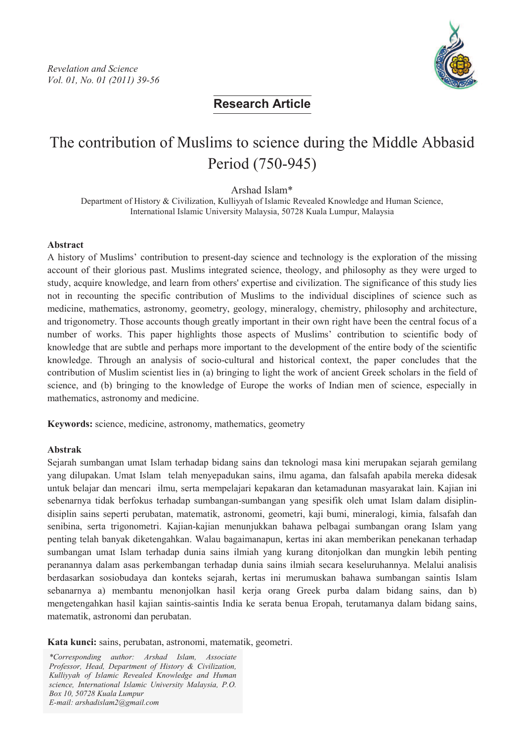

**Research Article**

# The contribution of Muslims to science during the Middle Abbasid Period (750-945)

Arshad Islam\*

Department of History & Civilization, Kulliyyah of Islamic Revealed Knowledge and Human Science, International Islamic University Malaysia, 50728 Kuala Lumpur, Malaysia

#### **Abstract**

A history of Muslims' contribution to present-day science and technology is the exploration of the missing account of their glorious past. Muslims integrated science, theology, and philosophy as they were urged to study, acquire knowledge, and learn from others' expertise and civilization. The significance of this study lies not in recounting the specific contribution of Muslims to the individual disciplines of science such as medicine, mathematics, astronomy, geometry, geology, mineralogy, chemistry, philosophy and architecture, and trigonometry. Those accounts though greatly important in their own right have been the central focus of a number of works. This paper highlights those aspects of Muslims' contribution to scientific body of knowledge that are subtle and perhaps more important to the development of the entire body of the scientific knowledge. Through an analysis of socio-cultural and historical context, the paper concludes that the contribution of Muslim scientist lies in (a) bringing to light the work of ancient Greek scholars in the field of science, and (b) bringing to the knowledge of Europe the works of Indian men of science, especially in mathematics, astronomy and medicine.

**Keywords:** science, medicine, astronomy, mathematics, geometry

#### **Abstrak**

Sejarah sumbangan umat Islam terhadap bidang sains dan teknologi masa kini merupakan sejarah gemilang yang dilupakan. Umat Islam telah menyepadukan sains, ilmu agama, dan falsafah apabila mereka didesak untuk belajar dan mencari ilmu, serta mempelajari kepakaran dan ketamadunan masyarakat lain. Kajian ini sebenarnya tidak berfokus terhadap sumbangan-sumbangan yang spesifik oleh umat Islam dalam disiplindisiplin sains seperti perubatan, matematik, astronomi, geometri, kaji bumi, mineralogi, kimia, falsafah dan senibina, serta trigonometri. Kajian-kajian menunjukkan bahawa pelbagai sumbangan orang Islam yang penting telah banyak diketengahkan. Walau bagaimanapun, kertas ini akan memberikan penekanan terhadap sumbangan umat Islam terhadap dunia sains ilmiah yang kurang ditonjolkan dan mungkin lebih penting peranannya dalam asas perkembangan terhadap dunia sains ilmiah secara keseluruhannya. Melalui analisis berdasarkan sosiobudaya dan konteks sejarah, kertas ini merumuskan bahawa sumbangan saintis Islam sebanarnya a) membantu menonjolkan hasil kerja orang Greek purba dalam bidang sains, dan b) mengetengahkan hasil kajian saintis-saintis India ke serata benua Eropah, terutamanya dalam bidang sains, matematik, astronomi dan perubatan.

**Kata kunci:** sains, perubatan, astronomi, matematik, geometri.

\*Corresponding author: Arshad Islam, Associate Professor, Head, Department of History & Civilization, Kulliyyah of Islamic Revealed Knowledge and Human science, International Islamic University Malaysia, P.O. Box 10, 50728 Kuala Lumpur E-mail: arshadislam2@gmail.com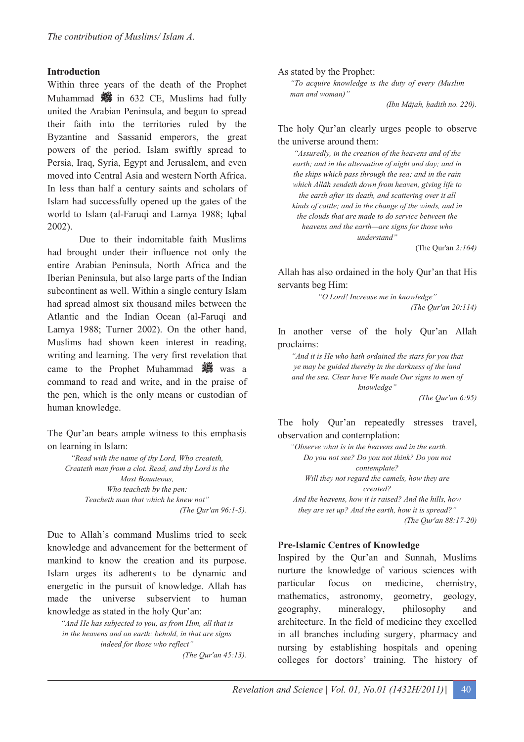#### **Introduction**

Within three years of the death of the Prophet Muhammad  $\frac{36}{100}$  in 632 CE, Muslims had fully united the Arabian Peninsula, and begun to spread their faith into the territories ruled by the Byzantine and Sassanid emperors, the great powers of the period. Islam swiftly spread to Persia, Iraq, Syria, Egypt and Jerusalem, and even moved into Central Asia and western North Africa. In less than half a century saints and scholars of Islam had successfully opened up the gates of the world to Islam (al-Faruqi and Lamya 1988; Iqbal 2002).

Due to their indomitable faith Muslims had brought under their influence not only the entire Arabian Peninsula, North Africa and the Iberian Peninsula, but also large parts of the Indian subcontinent as well. Within a single century Islam had spread almost six thousand miles between the Atlantic and the Indian Ocean (al-Faruqi and Lamya 1988; Turner 2002). On the other hand, Muslims had shown keen interest in reading, writing and learning. The very first revelation that came to the Prophet Muhammad **was** was a command to read and write, and in the praise of the pen, which is the only means or custodian of human knowledge.

The Qur'an bears ample witness to this emphasis on learning in Islam:

*"Read with the name of thy Lord, Who createth, Createth man from a clot. Read, and thy Lord is the Most Bounteous, Who teacheth by the pen: Teacheth man that which he knew not" (The Qur'an 96:1-5).* 

Due to Allah's command Muslims tried to seek knowledge and advancement for the betterment of mankind to know the creation and its purpose. Islam urges its adherents to be dynamic and energetic in the pursuit of knowledge. Allah has made the universe subservient to human knowledge as stated in the holy Qur'an:

*"And He has subjected to you, as from Him, all that is in the heavens and on earth: behold, in that are signs indeed for those who reflect" (The Qur'an 45:13).*  As stated by the Prophet:

*"To acquire knowledge is the duty of every (Muslim man and woman)"* 

*(Ibn Mjah, -adith no. 220).* 

#### The holy Qur'an clearly urges people to observe the universe around them:

*"Assuredly, in the creation of the heavens and of the earth; and in the alternation of night and day; and in the ships which pass through the sea; and in the rain which - sendeth down from heaven, giving life to the earth after its death, and scattering over it all kinds of cattle; and in the change of the winds, and in the clouds that are made to do service between the heavens and the earth—are signs for those who understand"* 

(The Qur'an *2:164)* 

Allah has also ordained in the holy Qur'an that His servants beg Him:

> *"O Lord! Increase me in knowledge" (The Qur'an 20:114)*

In another verse of the holy Qur'an Allah proclaims:

*"And it is He who hath ordained the stars for you that ye may be guided thereby in the darkness of the land and the sea. Clear have We made Our signs to men of knowledge"* 

*(The Qur'an 6:95)* 

The holy Qur'an repeatedly stresses travel, observation and contemplation:

*"Observe what is in the heavens and in the earth. Do you not see? Do you not think? Do you not contemplate? Will they not regard the camels, how they are created? And the heavens, how it is raised? And the hills, how* 

*they are set up? And the earth, how it is spread?" (The Qur'an 88:17-20)* 

#### **Pre-Islamic Centres of Knowledge**

Inspired by the Qur'an and Sunnah, Muslims nurture the knowledge of various sciences with particular focus on medicine, chemistry, mathematics, astronomy, geometry, geology, geography, mineralogy, philosophy and architecture. In the field of medicine they excelled in all branches including surgery, pharmacy and nursing by establishing hospitals and opening colleges for doctors' training. The history of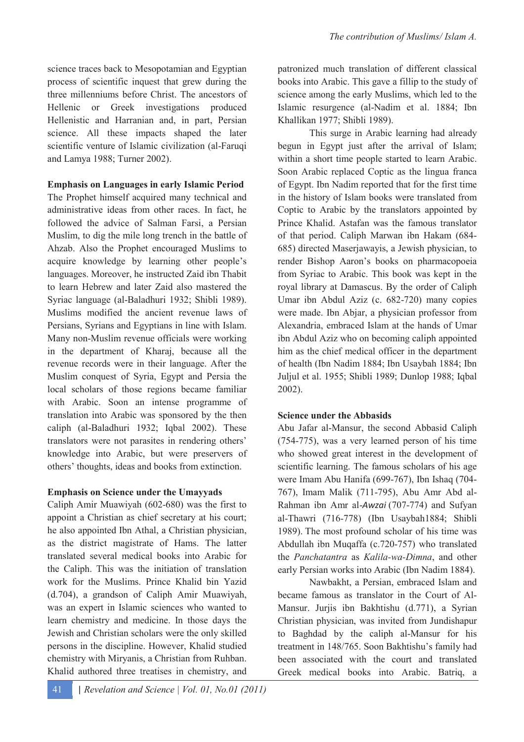science traces back to Mesopotamian and Egyptian process of scientific inquest that grew during the three millenniums before Christ. The ancestors of Hellenic or Greek investigations produced Hellenistic and Harranian and, in part, Persian science. All these impacts shaped the later scientific venture of Islamic civilization (al-Faruqi and Lamya 1988; Turner 2002).

**Emphasis on Languages in early Islamic Period** 

The Prophet himself acquired many technical and administrative ideas from other races. In fact, he followed the advice of Salman Farsi, a Persian Muslim, to dig the mile long trench in the battle of Ahzab. Also the Prophet encouraged Muslims to acquire knowledge by learning other people's languages. Moreover, he instructed Zaid ibn Thabit to learn Hebrew and later Zaid also mastered the Syriac language (al-Baladhuri 1932; Shibli 1989). Muslims modified the ancient revenue laws of Persians, Syrians and Egyptians in line with Islam. Many non-Muslim revenue officials were working in the department of Kharaj, because all the revenue records were in their language. After the Muslim conquest of Syria, Egypt and Persia the local scholars of those regions became familiar with Arabic. Soon an intense programme of translation into Arabic was sponsored by the then caliph (al-Baladhuri 1932; Iqbal 2002). These translators were not parasites in rendering others' knowledge into Arabic, but were preservers of others' thoughts, ideas and books from extinction.

# **Emphasis on Science under the Umayyads**

Caliph Amir Muawiyah (602-680) was the first to appoint a Christian as chief secretary at his court; he also appointed Ibn Athal, a Christian physician, as the district magistrate of Hams. The latter translated several medical books into Arabic for the Caliph. This was the initiation of translation work for the Muslims. Prince Khalid bin Yazid (d.704), a grandson of Caliph Amir Muawiyah, was an expert in Islamic sciences who wanted to learn chemistry and medicine. In those days the Jewish and Christian scholars were the only skilled persons in the discipline. However, Khalid studied chemistry with Miryanis, a Christian from Ruhban. Khalid authored three treatises in chemistry, and

This surge in Arabic learning had already begun in Egypt just after the arrival of Islam; within a short time people started to learn Arabic. Soon Arabic replaced Coptic as the lingua franca of Egypt. Ibn Nadim reported that for the first time in the history of Islam books were translated from Coptic to Arabic by the translators appointed by Prince Khalid. Astafan was the famous translator of that period. Caliph Marwan ibn Hakam (684- 685) directed Maserjawayis, a Jewish physician, to render Bishop Aaron's books on pharmacopoeia from Syriac to Arabic. This book was kept in the royal library at Damascus. By the order of Caliph Umar ibn Abdul Aziz (c. 682-720) many copies were made. Ibn Abjar, a physician professor from Alexandria, embraced Islam at the hands of Umar ibn Abdul Aziz who on becoming caliph appointed him as the chief medical officer in the department of health (Ibn Nadim 1884; Ibn Usaybah 1884; Ibn Juljul et al. 1955; Shibli 1989; Dunlop 1988; Iqbal 2002).

# **Science under the Abbasids**

Abu Jafar al-Mansur, the second Abbasid Caliph (754-775), was a very learned person of his time who showed great interest in the development of scientific learning. The famous scholars of his age were Imam Abu Hanifa (699-767), Ibn Ishaq (704- 767), Imam Malik (711-795), Abu Amr Abd al-Rahman ibn Amr al-Awzai (707-774) and Sufyan al-Thawri (716-778) (Ibn Usaybah1884; Shibli 1989). The most profound scholar of his time was Abdullah ibn Muqaffa (c.720-757) who translated the *Panchatantra* as *Kalila-wa-Dimna*, and other early Persian works into Arabic (Ibn Nadim 1884).

Nawbakht, a Persian, embraced Islam and became famous as translator in the Court of Al-Mansur. Jurjis ibn Bakhtishu (d.771), a Syrian Christian physician, was invited from Jundishapur to Baghdad by the caliph al-Mansur for his treatment in 148/765. Soon Bakhtishu's family had been associated with the court and translated Greek medical books into Arabic. Batriq, a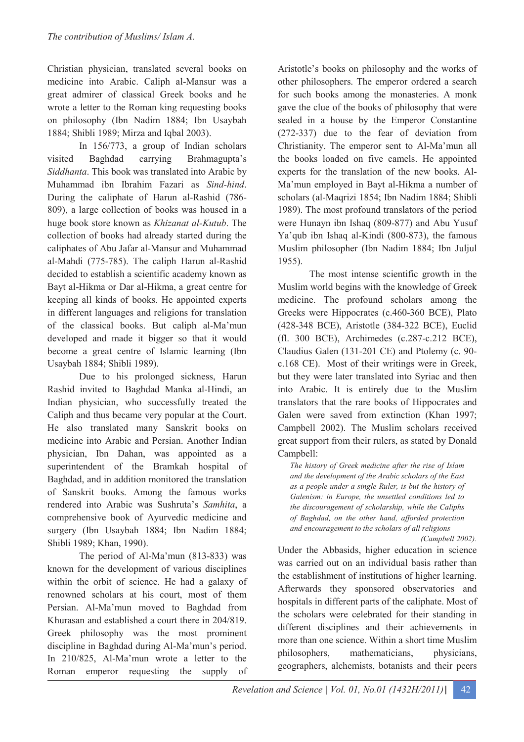Christian physician, translated several books on medicine into Arabic. Caliph al-Mansur was a great admirer of classical Greek books and he wrote a letter to the Roman king requesting books on philosophy (Ibn Nadim 1884; Ibn Usaybah 1884; Shibli 1989; Mirza and Iqbal 2003).

In 156/773, a group of Indian scholars visited Baghdad carrying Brahmagupta's *Siddhanta*. This book was translated into Arabic by Muhammad ibn Ibrahim Fazari as *Sind-hind*. During the caliphate of Harun al-Rashid (786- 809), a large collection of books was housed in a huge book store known as *Khizanat al-Kutub*. The collection of books had already started during the caliphates of Abu Jafar al-Mansur and Muhammad al-Mahdi (775-785). The caliph Harun al-Rashid decided to establish a scientific academy known as Bayt al-Hikma or Dar al-Hikma, a great centre for keeping all kinds of books. He appointed experts in different languages and religions for translation of the classical books. But caliph al-Ma'mun developed and made it bigger so that it would become a great centre of Islamic learning (Ibn Usaybah 1884; Shibli 1989).

Due to his prolonged sickness, Harun Rashid invited to Baghdad Manka al-Hindi, an Indian physician, who successfully treated the Caliph and thus became very popular at the Court. He also translated many Sanskrit books on medicine into Arabic and Persian. Another Indian physician, Ibn Dahan, was appointed as a superintendent of the Bramkah hospital of Baghdad, and in addition monitored the translation of Sanskrit books. Among the famous works rendered into Arabic was Sushruta's *Samhita*, a comprehensive book of Ayurvedic medicine and surgery (Ibn Usaybah 1884; Ibn Nadim 1884; Shibli 1989; Khan, 1990).

The period of Al-Ma'mun (813-833) was known for the development of various disciplines within the orbit of science. He had a galaxy of renowned scholars at his court, most of them Persian. Al-Ma'mun moved to Baghdad from Khurasan and established a court there in 204/819. Greek philosophy was the most prominent discipline in Baghdad during Al-Ma'mun's period. In 210/825, Al-Ma'mun wrote a letter to the Roman emperor requesting the supply of Aristotle's books on philosophy and the works of other philosophers. The emperor ordered a search for such books among the monasteries. A monk gave the clue of the books of philosophy that were sealed in a house by the Emperor Constantine (272-337) due to the fear of deviation from Christianity. The emperor sent to Al-Ma'mun all the books loaded on five camels. He appointed experts for the translation of the new books. Al-Ma'mun employed in Bayt al-Hikma a number of scholars (al-Maqrizi 1854; Ibn Nadim 1884; Shibli 1989). The most profound translators of the period were Hunayn ibn Ishaq (809-877) and Abu Yusuf Ya'qub ibn Ishaq al-Kindi (800-873), the famous Muslim philosopher (Ibn Nadim 1884; Ibn Juljul 1955).

The most intense scientific growth in the Muslim world begins with the knowledge of Greek medicine. The profound scholars among the Greeks were Hippocrates (c.460-360 BCE), Plato (428-348 BCE), Aristotle (384-322 BCE), Euclid (fl. 300 BCE), Archimedes (c.287-c.212 BCE), Claudius Galen (131-201 CE) and Ptolemy (c. 90 c.168 CE). Most of their writings were in Greek, but they were later translated into Syriac and then into Arabic. It is entirely due to the Muslim translators that the rare books of Hippocrates and Galen were saved from extinction (Khan 1997; Campbell 2002). The Muslim scholars received great support from their rulers, as stated by Donald Campbell:

*The history of Greek medicine after the rise of Islam and the development of the Arabic scholars of the East as a people under a single Ruler, is but the history of Galenism: in Europe, the unsettled conditions led to the discouragement of scholarship, while the Caliphs of Baghdad, on the other hand, afforded protection and encouragement to the scholars of all religions* 

Under the Abbasids, higher education in science was carried out on an individual basis rather than the establishment of institutions of higher learning. Afterwards they sponsored observatories and hospitals in different parts of the caliphate. Most of the scholars were celebrated for their standing in different disciplines and their achievements in more than one science. Within a short time Muslim philosophers, mathematicians, physicians, geographers, alchemists, botanists and their peers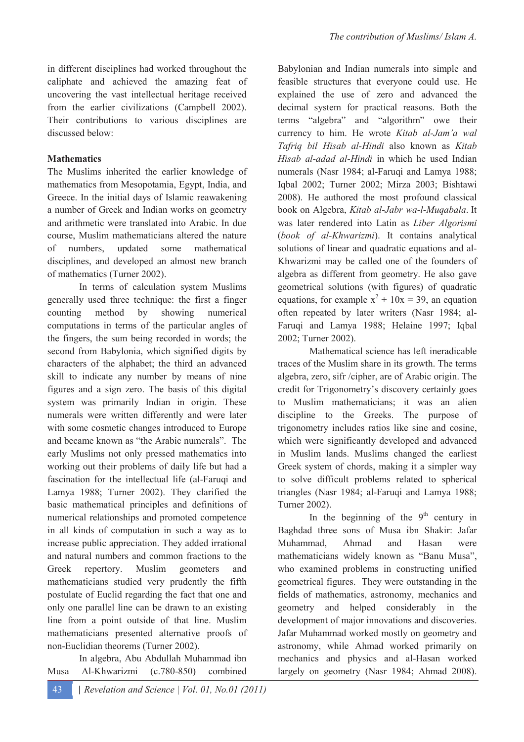#### **Mathematics**

The Muslims inherited the earlier knowledge of mathematics from Mesopotamia, Egypt, India, and Greece. In the initial days of Islamic reawakening a number of Greek and Indian works on geometry and arithmetic were translated into Arabic. In due course, Muslim mathematicians altered the nature of numbers, updated some mathematical disciplines, and developed an almost new branch of mathematics (Turner 2002).

In terms of calculation system Muslims generally used three technique: the first a finger counting method by showing numerical computations in terms of the particular angles of the fingers, the sum being recorded in words; the second from Babylonia, which signified digits by characters of the alphabet; the third an advanced skill to indicate any number by means of nine figures and a sign zero. The basis of this digital system was primarily Indian in origin. These numerals were written differently and were later with some cosmetic changes introduced to Europe and became known as "the Arabic numerals". The early Muslims not only pressed mathematics into working out their problems of daily life but had a fascination for the intellectual life (al-Faruqi and Lamya 1988; Turner 2002). They clarified the basic mathematical principles and definitions of numerical relationships and promoted competence in all kinds of computation in such a way as to increase public appreciation. They added irrational and natural numbers and common fractions to the Greek repertory. Muslim geometers and mathematicians studied very prudently the fifth postulate of Euclid regarding the fact that one and only one parallel line can be drawn to an existing line from a point outside of that line. Muslim mathematicians presented alternative proofs of non-Euclidian theorems (Turner 2002).

In algebra, Abu Abdullah Muhammad ibn Musa Al-Khwarizmi (c.780-850) combined Babylonian and Indian numerals into simple and feasible structures that everyone could use. He explained the use of zero and advanced the decimal system for practical reasons. Both the terms "algebra" and "algorithm" owe their currency to him. He wrote *Kitab al-Jam'a wal Tafriq bil Hisab al-Hindi* also known as *Kitab Hisab al-adad al-Hindi* in which he used Indian numerals (Nasr 1984; al-Faruqi and Lamya 1988; Iqbal 2002; Turner 2002; Mirza 2003; Bishtawi 2008). He authored the most profound classical book on Algebra, *Kitab al-Jabr wa-l-Muqabala*. It was later rendered into Latin as *Liber Algorismi* (*book of al-Khwarizmi*). It contains analytical solutions of linear and quadratic equations and al-Khwarizmi may be called one of the founders of algebra as different from geometry. He also gave geometrical solutions (with figures) of quadratic equations, for example  $x^2 + 10x = 39$ , an equation often repeated by later writers (Nasr 1984; al-Faruqi and Lamya 1988; Helaine 1997; Iqbal 2002; Turner 2002).

Mathematical science has left ineradicable traces of the Muslim share in its growth. The terms algebra, zero, sifr /cipher, are of Arabic origin. The credit for Trigonometry's discovery certainly goes to Muslim mathematicians; it was an alien discipline to the Greeks. The purpose of trigonometry includes ratios like sine and cosine, which were significantly developed and advanced in Muslim lands. Muslims changed the earliest Greek system of chords, making it a simpler way to solve difficult problems related to spherical triangles (Nasr 1984; al-Faruqi and Lamya 1988; Turner 2002).

In the beginning of the  $9<sup>th</sup>$  century in Baghdad three sons of Musa ibn Shakir: Jafar Muhammad, Ahmad and Hasan were mathematicians widely known as "Banu Musa", who examined problems in constructing unified geometrical figures. They were outstanding in the fields of mathematics, astronomy, mechanics and geometry and helped considerably in the development of major innovations and discoveries. Jafar Muhammad worked mostly on geometry and astronomy, while Ahmad worked primarily on mechanics and physics and al-Hasan worked largely on geometry (Nasr 1984; Ahmad 2008).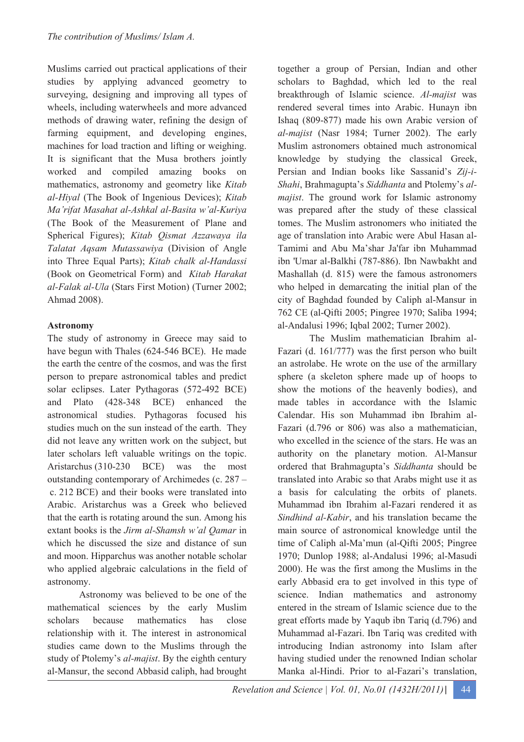Muslims carried out practical applications of their studies by applying advanced geometry to surveying, designing and improving all types of wheels, including waterwheels and more advanced methods of drawing water, refining the design of farming equipment, and developing engines, machines for load traction and lifting or weighing. It is significant that the Musa brothers jointly worked and compiled amazing books on mathematics, astronomy and geometry like *Kitab al-Hiyal* (The Book of Ingenious Devices); *Kitab Ma'rifat Masahat al-Ashkal al-Basita w'al-Kuriya*  (The Book of the Measurement of Plane and Spherical Figures); *Kitab Qismat Azzawaya ila Talatat Aqsam Mutassawiya* (Division of Angle into Three Equal Parts); *Kitab chalk al-Handassi* (Book on Geometrical Form) and *Kitab Harakat al-Falak al-Ula* (Stars First Motion) (Turner 2002; Ahmad 2008).

# **Astronomy**

The study of astronomy in Greece may said to have begun with Thales (624-546 BCE). He made the earth the centre of the cosmos, and was the first person to prepare astronomical tables and predict solar eclipses. Later Pythagoras (572-492 BCE) and Plato (428-348 BCE) enhanced the astronomical studies. Pythagoras focused his studies much on the sun instead of the earth. They did not leave any written work on the subject, but later scholars left valuable writings on the topic. Aristarchus (310-230 BCE) was the most outstanding contemporary of Archimedes (c. 287 – c. 212 BCE) and their books were translated into Arabic. Aristarchus was a Greek who believed that the earth is rotating around the sun. Among his extant books is the *Jirm al-Shamsh w'al Qamar* in which he discussed the size and distance of sun and moon. Hipparchus was another notable scholar who applied algebraic calculations in the field of astronomy.

Astronomy was believed to be one of the mathematical sciences by the early Muslim scholars because mathematics has close relationship with it. The interest in astronomical studies came down to the Muslims through the study of Ptolemy's *al-majist*. By the eighth century al-Mansur, the second Abbasid caliph, had brought

together a group of Persian, Indian and other scholars to Baghdad, which led to the real breakthrough of Islamic science. *Al-majist* was rendered several times into Arabic. Hunayn ibn Ishaq (809-877) made his own Arabic version of *al-majist* (Nasr 1984; Turner 2002). The early Muslim astronomers obtained much astronomical knowledge by studying the classical Greek, Persian and Indian books like Sassanid's *Zij-i-Shahi*, Brahmagupta's *Siddhanta* and Ptolemy's *almajist*. The ground work for Islamic astronomy was prepared after the study of these classical tomes. The Muslim astronomers who initiated the age of translation into Arabic were Abul Hasan al-Tamimi and Abu Ma'shar Ja'far ibn Muhammad ibn 'Umar al-Balkhi (787-886). Ibn Nawbakht and Mashallah (d. 815) were the famous astronomers who helped in demarcating the initial plan of the city of Baghdad founded by Caliph al-Mansur in 762 CE (al-Qifti 2005; Pingree 1970; Saliba 1994; al-Andalusi 1996; Iqbal 2002; Turner 2002).

The Muslim mathematician Ibrahim al-Fazari (d. 161/777) was the first person who built an astrolabe. He wrote on the use of the armillary sphere (a skeleton sphere made up of hoops to show the motions of the heavenly bodies), and made tables in accordance with the Islamic Calendar. His son Muhammad ibn Ibrahim al-Fazari (d.796 or 806) was also a mathematician, who excelled in the science of the stars. He was an authority on the planetary motion. Al-Mansur ordered that Brahmagupta's *Siddhanta* should be translated into Arabic so that Arabs might use it as a basis for calculating the orbits of planets. Muhammad ibn Ibrahim al-Fazari rendered it as *Sindhind al-Kabir*, and his translation became the main source of astronomical knowledge until the time of Caliph al-Ma'mun (al-Qifti 2005; Pingree 1970; Dunlop 1988; al-Andalusi 1996; al-Masudi 2000). He was the first among the Muslims in the early Abbasid era to get involved in this type of science. Indian mathematics and astronomy entered in the stream of Islamic science due to the great efforts made by Yaqub ibn Tariq (d.796) and Muhammad al-Fazari. Ibn Tariq was credited with introducing Indian astronomy into Islam after having studied under the renowned Indian scholar Manka al-Hindi. Prior to al-Fazari's translation,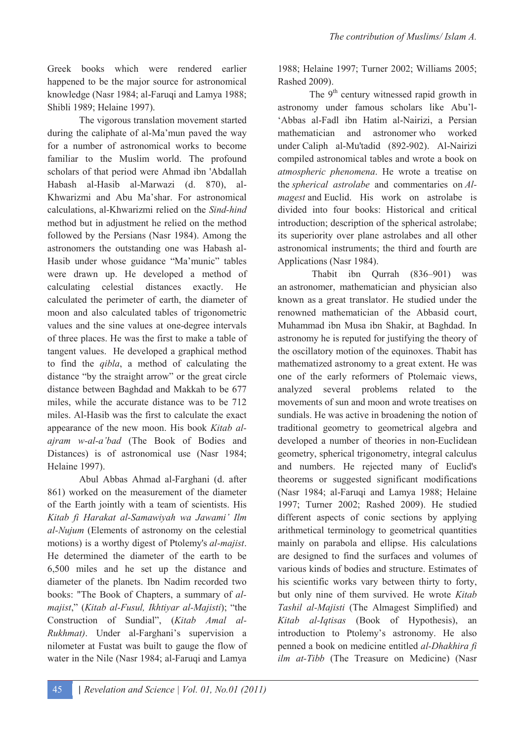Greek books which were rendered earlier happened to be the major source for astronomical knowledge (Nasr 1984; al-Faruqi and Lamya 1988; Shibli 1989; Helaine 1997).

The vigorous translation movement started during the caliphate of al-Ma'mun paved the way for a number of astronomical works to become familiar to the Muslim world. The profound scholars of that period were Ahmad ibn 'Abdallah Habash al-Hasib al-Marwazi (d. 870), al-Khwarizmi and Abu Ma'shar. For astronomical calculations, al-Khwarizmi relied on the *Sind-hind* method but in adjustment he relied on the method followed by the Persians (Nasr 1984). Among the astronomers the outstanding one was Habash al-Hasib under whose guidance "Ma'munic" tables were drawn up. He developed a method of calculating celestial distances exactly. He calculated the perimeter of earth, the diameter of moon and also calculated tables of trigonometric values and the sine values at one-degree intervals of three places. He was the first to make a table of tangent values. He developed a graphical method to find the *qibla*, a method of calculating the distance "by the straight arrow" or the great circle distance between Baghdad and Makkah to be 677 miles, while the accurate distance was to be 712 miles. Al-Hasib was the first to calculate the exact appearance of the new moon. His book *Kitab alajram w-al-a'bad* (The Book of Bodies and Distances) is of astronomical use (Nasr 1984; Helaine 1997).

Abul Abbas Ahmad al-Farghani (d. after 861) worked on the measurement of the diameter of the Earth jointly with a team of scientists. His *Kitab fi Harakat al-Samawiyah wa Jawami' Ilm al-Nujum* (Elements of astronomy on the celestial motions) is a worthy digest of Ptolemy's *al-majist*. He determined the diameter of the earth to be 6,500 miles and he set up the distance and diameter of the planets. Ibn Nadim recorded two books: "The Book of Chapters, a summary of *almajist*," (*Kitab al-Fusul, Ikhtiyar al-Majisti*); "the Construction of Sundial", (*Kitab Amal al-Rukhmat)*. Under al-Farghani's supervision a nilometer at Fustat was built to gauge the flow of water in the Nile (Nasr 1984; al-Faruqi and Lamya

1988; Helaine 1997; Turner 2002; Williams 2005; Rashed 2009).

The  $9<sup>th</sup>$  century witnessed rapid growth in astronomy under famous scholars like Abu'l- 'Abbas al-Fadl ibn Hatim al-Nairizi, a Persian mathematician and astronomer who worked under Caliph al-Mu'tadid (892-902). Al-Nairizi compiled astronomical tables and wrote a book on *atmospheric phenomena*. He wrote a treatise on the *spherical astrolabe* and commentaries on *Almagest* and Euclid. His work on astrolabe is divided into four books: Historical and critical introduction; description of the spherical astrolabe; its superiority over plane astrolabes and all other astronomical instruments; the third and fourth are Applications (Nasr 1984).

 Thabit ibn Qurrah (836–901) was an astronomer, mathematician and physician also known as a great translator. He studied under the renowned mathematician of the Abbasid court, Muhammad ibn Musa ibn Shakir, at Baghdad. In astronomy he is reputed for justifying the theory of the oscillatory motion of the equinoxes. Thabit has mathematized astronomy to a great extent. He was one of the early reformers of Ptolemaic views, analyzed several problems related to the movements of sun and moon and wrote treatises on sundials. He was active in broadening the notion of traditional geometry to geometrical algebra and developed a number of theories in non-Euclidean geometry, spherical trigonometry, integral calculus and numbers. He rejected many of Euclid's theorems or suggested significant modifications (Nasr 1984; al-Faruqi and Lamya 1988; Helaine 1997; Turner 2002; Rashed 2009). He studied different aspects of conic sections by applying arithmetical terminology to geometrical quantities mainly on parabola and ellipse. His calculations are designed to find the surfaces and volumes of various kinds of bodies and structure. Estimates of his scientific works vary between thirty to forty, but only nine of them survived. He wrote *Kitab Tashil al-Majisti* (The Almagest Simplified) and *Kitab al-Iqtisas* (Book of Hypothesis), an introduction to Ptolemy's astronomy. He also penned a book on medicine entitled *al-Dhakhira fi ilm at-Tibb* (The Treasure on Medicine) (Nasr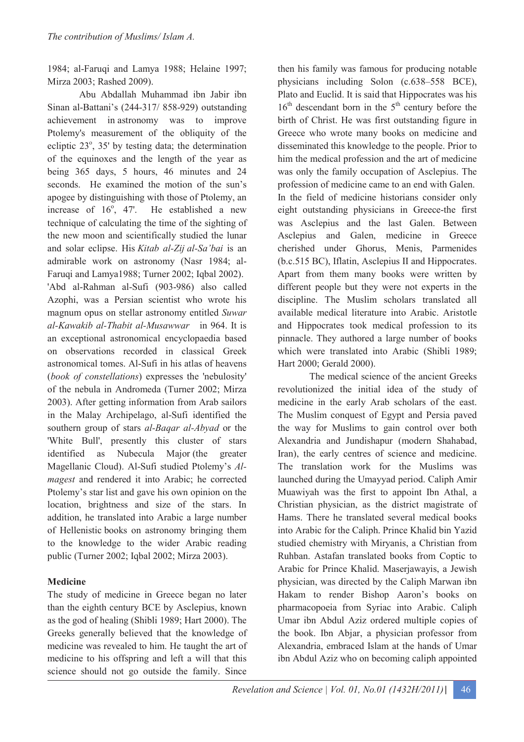1984; al-Faruqi and Lamya 1988; Helaine 1997; Mirza 2003; Rashed 2009).

Abu Abdallah Muhammad ibn Jabir ibn Sinan al-Battani's (244-317/ 858-929) outstanding achievement in astronomy was to improve Ptolemy's measurement of the obliquity of the ecliptic 23°, 35' by testing data; the determination of the equinoxes and the length of the year as being 365 days, 5 hours, 46 minutes and 24 seconds. He examined the motion of the sun's apogee by distinguishing with those of Ptolemy, an increase of  $16^{\circ}$ , 47'. He established a new technique of calculating the time of the sighting of the new moon and scientifically studied the lunar and solar eclipse. His *Kitab al-Zij al-Sa'bai* is an admirable work on astronomy (Nasr 1984; al-Faruqi and Lamya1988; Turner 2002; Iqbal 2002). 'Abd al-Rahman al-Sufi (903-986) also called Azophi, was a Persian scientist who wrote his magnum opus on stellar astronomy entitled *Suwar al-Kawakib al-Thabit al-Musawwar* in 964. It is

an exceptional astronomical encyclopaedia based on observations recorded in classical Greek astronomical tomes. Al-Sufi in his atlas of heavens (*book of constellations*) expresses the 'nebulosity' of the nebula in Andromeda (Turner 2002; Mirza 2003). After getting information from Arab sailors in the Malay Archipelago, al-Sufi identified the southern group of stars *al-Baqar al-Abyad* or the 'White Bull', presently this cluster of stars identified as Nubecula Major (the greater Magellanic Cloud). Al-Sufi studied Ptolemy's *Almagest* and rendered it into Arabic; he corrected Ptolemy's star list and gave his own opinion on the location, brightness and size of the stars. In addition, he translated into Arabic a large number of Hellenistic books on astronomy bringing them to the knowledge to the wider Arabic reading public (Turner 2002; Iqbal 2002; Mirza 2003).

# **Medicine**

The study of medicine in Greece began no later than the eighth century BCE by Asclepius, known as the god of healing (Shibli 1989; Hart 2000). The Greeks generally believed that the knowledge of medicine was revealed to him. He taught the art of medicine to his offspring and left a will that this science should not go outside the family. Since

then his family was famous for producing notable physicians including Solon (c.638–558 BCE), Plato and Euclid. It is said that Hippocrates was his  $16<sup>th</sup>$  descendant born in the  $5<sup>th</sup>$  century before the birth of Christ. He was first outstanding figure in Greece who wrote many books on medicine and disseminated this knowledge to the people. Prior to him the medical profession and the art of medicine was only the family occupation of Asclepius. The profession of medicine came to an end with Galen. In the field of medicine historians consider only eight outstanding physicians in Greece-the first was Asclepius and the last Galen. Between Asclepius and Galen, medicine in Greece cherished under Ghorus, Menis, Parmenides (b.c.515 BC), Iflatin, Asclepius II and Hippocrates. Apart from them many books were written by different people but they were not experts in the discipline. The Muslim scholars translated all available medical literature into Arabic. Aristotle and Hippocrates took medical profession to its pinnacle. They authored a large number of books which were translated into Arabic (Shibli 1989; Hart 2000; Gerald 2000).

The medical science of the ancient Greeks revolutionized the initial idea of the study of medicine in the early Arab scholars of the east. The Muslim conquest of Egypt and Persia paved the way for Muslims to gain control over both Alexandria and Jundishapur (modern Shahabad, Iran), the early centres of science and medicine. The translation work for the Muslims was launched during the Umayyad period. Caliph Amir Muawiyah was the first to appoint Ibn Athal, a Christian physician, as the district magistrate of Hams. There he translated several medical books into Arabic for the Caliph. Prince Khalid bin Yazid studied chemistry with Miryanis, a Christian from Ruhban. Astafan translated books from Coptic to Arabic for Prince Khalid. Maserjawayis, a Jewish physician, was directed by the Caliph Marwan ibn Hakam to render Bishop Aaron's books on pharmacopoeia from Syriac into Arabic. Caliph Umar ibn Abdul Aziz ordered multiple copies of the book. Ibn Abjar, a physician professor from Alexandria, embraced Islam at the hands of Umar ibn Abdul Aziz who on becoming caliph appointed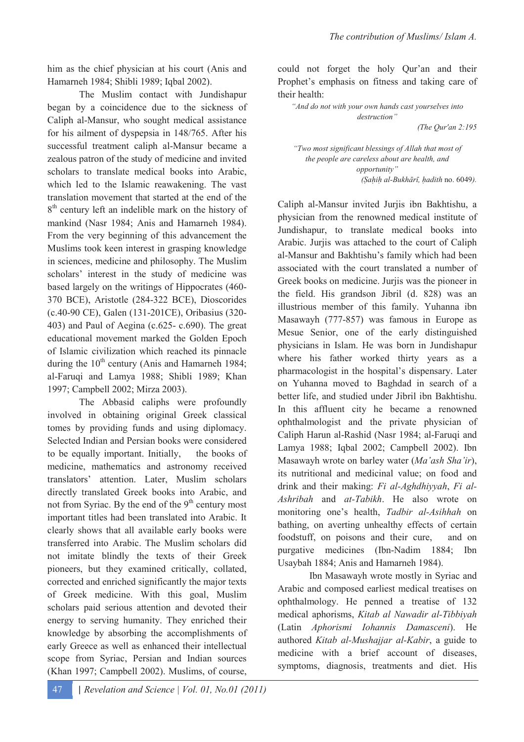him as the chief physician at his court (Anis and Hamarneh 1984; Shibli 1989; Iqbal 2002).

The Muslim contact with Jundishapur began by a coincidence due to the sickness of Caliph al-Mansur, who sought medical assistance for his ailment of dyspepsia in 148/765. After his successful treatment caliph al-Mansur became a zealous patron of the study of medicine and invited scholars to translate medical books into Arabic, which led to the Islamic reawakening. The vast translation movement that started at the end of the 8 th century left an indelible mark on the history of mankind (Nasr 1984; Anis and Hamarneh 1984). From the very beginning of this advancement the Muslims took keen interest in grasping knowledge in sciences, medicine and philosophy. The Muslim scholars' interest in the study of medicine was based largely on the writings of Hippocrates (460- 370 BCE), Aristotle (284-322 BCE), Dioscorides (c.40-90 CE), Galen (131-201CE), Oribasius (320- 403) and Paul of Aegina (c.625- c.690). The great educational movement marked the Golden Epoch of Islamic civilization which reached its pinnacle during the  $10^{th}$  century (Anis and Hamarneh 1984; al-Faruqi and Lamya 1988; Shibli 1989; Khan 1997; Campbell 2002; Mirza 2003).

The Abbasid caliphs were profoundly involved in obtaining original Greek classical tomes by providing funds and using diplomacy. Selected Indian and Persian books were considered to be equally important. Initially, the books of medicine, mathematics and astronomy received translators' attention. Later, Muslim scholars directly translated Greek books into Arabic, and not from Syriac. By the end of the  $9<sup>th</sup>$  century most important titles had been translated into Arabic. It clearly shows that all available early books were transferred into Arabic. The Muslim scholars did not imitate blindly the texts of their Greek pioneers, but they examined critically, collated, corrected and enriched significantly the major texts of Greek medicine. With this goal, Muslim scholars paid serious attention and devoted their energy to serving humanity. They enriched their knowledge by absorbing the accomplishments of early Greece as well as enhanced their intellectual scope from Syriac, Persian and Indian sources (Khan 1997; Campbell 2002). Muslims, of course,

could not forget the holy Qur'an and their Prophet's emphasis on fitness and taking care of their health:

*"And do not with your own hands cast yourselves into destruction"* 

*(The Qur'an 2:195* 

*"Two most significant blessings of Allah that most of the people are careless about are health, and opportunity"*  (Sahih al-Bukhārī, hadith no. 6049).

Caliph al-Mansur invited Jurjis ibn Bakhtishu, a physician from the renowned medical institute of Jundishapur, to translate medical books into Arabic. Jurjis was attached to the court of Caliph al-Mansur and Bakhtishu's family which had been associated with the court translated a number of Greek books on medicine. Jurjis was the pioneer in the field. His grandson Jibril (d. 828) was an illustrious member of this family. Yuhanna ibn Masawayh (777-857) was famous in Europe as Mesue Senior, one of the early distinguished physicians in Islam. He was born in Jundishapur where his father worked thirty years as a pharmacologist in the hospital's dispensary. Later on Yuhanna moved to Baghdad in search of a better life, and studied under Jibril ibn Bakhtishu. In this affluent city he became a renowned ophthalmologist and the private physician of Caliph Harun al-Rashid (Nasr 1984; al-Faruqi and Lamya 1988; Iqbal 2002; Campbell 2002). Ibn Masawayh wrote on barley water (*Ma'ash Sha'ir*), its nutritional and medicinal value; on food and drink and their making: *Fi al-Aghdhiyyah*, *Fi al-Ashribah* and *at-Tabikh*. He also wrote on monitoring one's health, *Tadbir al-Asihhah* on bathing, on averting unhealthy effects of certain foodstuff, on poisons and their cure, and on purgative medicines (Ibn-Nadim 1884; Ibn Usaybah 1884; Anis and Hamarneh 1984).

Ibn Masawayh wrote mostly in Syriac and Arabic and composed earliest medical treatises on ophthalmology. He penned a treatise of 132 medical aphorisms, *Kitab al Nawadir al-Tibbiyah* (Latin *Aphorismi Iohannis Damasceni*). He authored *Kitab al-Mushajjar al-Kabir*, a guide to medicine with a brief account of diseases, symptoms, diagnosis, treatments and diet. His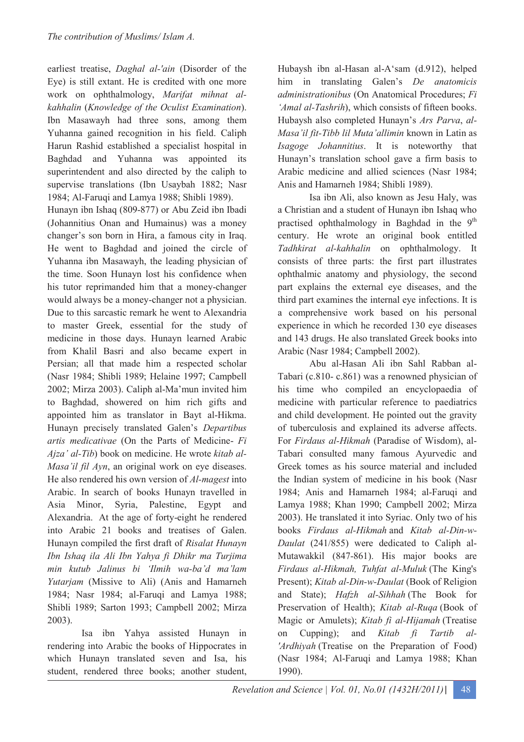earliest treatise, *Daghal al-'ain* (Disorder of the Eye) is still extant. He is credited with one more work on ophthalmology, *Marifat mihnat alkahhalin* (*Knowledge of the Oculist Examination*). Ibn Masawayh had three sons, among them Yuhanna gained recognition in his field. Caliph Harun Rashid established a specialist hospital in Baghdad and Yuhanna was appointed its superintendent and also directed by the caliph to supervise translations (Ibn Usaybah 1882; Nasr 1984; Al-Faruqi and Lamya 1988; Shibli 1989).

Hunayn ibn Ishaq (809-877) or Abu Zeid ibn Ibadi (Johannitius Onan and Humainus) was a money changer's son born in Hira, a famous city in Iraq. He went to Baghdad and joined the circle of Yuhanna ibn Masawayh, the leading physician of the time. Soon Hunayn lost his confidence when his tutor reprimanded him that a money-changer would always be a money-changer not a physician. Due to this sarcastic remark he went to Alexandria to master Greek, essential for the study of medicine in those days. Hunayn learned Arabic from Khalil Basri and also became expert in Persian; all that made him a respected scholar (Nasr 1984; Shibli 1989; Helaine 1997; Campbell 2002; Mirza 2003). Caliph al-Ma'mun invited him to Baghdad, showered on him rich gifts and appointed him as translator in Bayt al-Hikma. Hunayn precisely translated Galen's *Departibus artis medicativae* (On the Parts of Medicine- *Fi Ajza' al-Tib*) book on medicine. He wrote *kitab al-Masa'il fil Ayn*, an original work on eye diseases. He also rendered his own version of *Al-magest* into Arabic. In search of books Hunayn travelled in Asia Minor, Syria, Palestine, Egypt and Alexandria. At the age of forty-eight he rendered into Arabic 21 books and treatises of Galen. Hunayn compiled the first draft of *Risalat Hunayn Ibn Ishaq ila Ali Ibn Yahya fi Dhikr ma Turjima min kutub Jalinus bi 'Ilmih wa-ba'd ma'lam Yutarjam* (Missive to Ali) (Anis and Hamarneh 1984; Nasr 1984; al-Faruqi and Lamya 1988; Shibli 1989; Sarton 1993; Campbell 2002; Mirza 2003).

 Isa ibn Yahya assisted Hunayn in rendering into Arabic the books of Hippocrates in which Hunayn translated seven and Isa, his student, rendered three books; another student, Hubaysh ibn al-Hasan al-A'sam (d.912), helped him in translating Galen's *De anatomicis administrationibus* (On Anatomical Procedures; *Fi 'Amal al-Tashrih*), which consists of fifteen books. Hubaysh also completed Hunayn's *Ars Parva*, *al-Masa'il fit-Tibb lil Muta'allimin* known in Latin as *Isagoge Johannitius*. It is noteworthy that Hunayn's translation school gave a firm basis to Arabic medicine and allied sciences (Nasr 1984; Anis and Hamarneh 1984; Shibli 1989).

Isa ibn Ali, also known as Jesu Haly, was a Christian and a student of Hunayn ibn Ishaq who practised ophthalmology in Baghdad in the  $9<sup>th</sup>$ century. He wrote an original book entitled *Tadhkirat al-kahhalin* on ophthalmology. It consists of three parts: the first part illustrates ophthalmic anatomy and physiology, the second part explains the external eye diseases, and the third part examines the internal eye infections. It is a comprehensive work based on his personal experience in which he recorded 130 eye diseases and 143 drugs. He also translated Greek books into Arabic (Nasr 1984; Campbell 2002).

Abu al-Hasan Ali ibn Sahl Rabban al-Tabari (c.810- c.861) was a renowned physician of his time who compiled an encyclopaedia of medicine with particular reference to paediatrics and child development. He pointed out the gravity of tuberculosis and explained its adverse affects. For *Firdaus al-Hikmah* (Paradise of Wisdom), al-Tabari consulted many famous Ayurvedic and Greek tomes as his source material and included the Indian system of medicine in his book (Nasr 1984; Anis and Hamarneh 1984; al-Faruqi and Lamya 1988; Khan 1990; Campbell 2002; Mirza 2003). He translated it into Syriac. Only two of his books *Firdaus al-Hikmah* and *Kitab al-Din-w-Daulat* (241/855) were dedicated to Caliph al-Mutawakkil (847-861). His major books are *Firdaus al-Hikmah, Tuhfat al-Muluk* (The King's Present); *Kitab al-Din-w-Daulat* (Book of Religion and State); *Hafzh al-Sihhah* (The Book for Preservation of Health); *Kitab al-Ruqa* (Book of Magic or Amulets); *Kitab fi al-Hijamah* (Treatise on Cupping); and *Kitab fi Tartib al- 'Ardhiyah* (Treatise on the Preparation of Food) (Nasr 1984; Al-Faruqi and Lamya 1988; Khan 1990).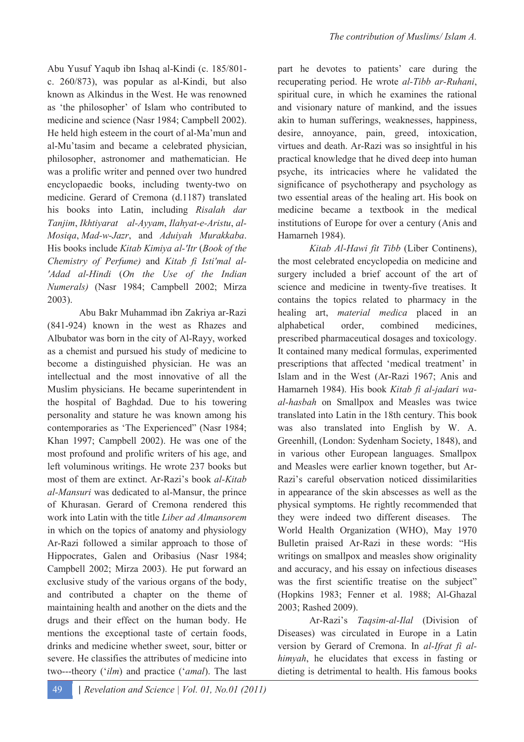Abu Yusuf Yaqub ibn Ishaq al-Kindi (c. 185/801 c. 260/873), was popular as al-Kindi, but also known as Alkindus in the West. He was renowned as 'the philosopher' of Islam who contributed to medicine and science (Nasr 1984; Campbell 2002). He held high esteem in the court of al-Ma'mun and al-Mu'tasim and became a celebrated physician, philosopher, astronomer and mathematician. He was a prolific writer and penned over two hundred encyclopaedic books, including twenty-two on medicine. Gerard of Cremona (d.1187) translated his books into Latin, including *Risalah dar Tanjim*, *Ikhtiyarat al-Ayyam*, *Ilahyat-e-Aristu*, *al-Mosiqa*, *Mad-w-Jazr*, and *Aduiyah Murakkaba*. His books include *Kitab Kimiya al-'Itr* (*Book of the Chemistry of Perfume)* and *Kitab fi Isti'mal al- 'Adad al-Hindi* (*On the Use of the Indian Numerals)* (Nasr 1984; Campbell 2002; Mirza 2003).

Abu Bakr Muhammad ibn Zakriya ar-Razi (841-924) known in the west as Rhazes and Albubator was born in the city of Al-Rayy, worked as a chemist and pursued his study of medicine to become a distinguished physician. He was an intellectual and the most innovative of all the Muslim physicians. He became superintendent in the hospital of Baghdad. Due to his towering personality and stature he was known among his contemporaries as 'The Experienced" (Nasr 1984; Khan 1997; Campbell 2002). He was one of the most profound and prolific writers of his age, and left voluminous writings. He wrote 237 books but most of them are extinct. Ar-Razi's book *al-Kitab al-Mansuri* was dedicated to al-Mansur, the prince of Khurasan. Gerard of Cremona rendered this work into Latin with the title *Liber ad Almansorem* in which on the topics of anatomy and physiology Ar-Razi followed a similar approach to those of Hippocrates, Galen and Oribasius (Nasr 1984; Campbell 2002; Mirza 2003). He put forward an exclusive study of the various organs of the body, and contributed a chapter on the theme of maintaining health and another on the diets and the drugs and their effect on the human body. He mentions the exceptional taste of certain foods, drinks and medicine whether sweet, sour, bitter or severe. He classifies the attributes of medicine into two---theory ('*ilm*) and practice ('*amal*). The last

part he devotes to patients' care during the recuperating period. He wrote *al-Tibb ar-Ruhani*, spiritual cure, in which he examines the rational and visionary nature of mankind, and the issues akin to human sufferings, weaknesses, happiness, desire, annovance, pain, greed, intoxication, virtues and death. Ar-Razi was so insightful in his practical knowledge that he dived deep into human psyche, its intricacies where he validated the significance of psychotherapy and psychology as two essential areas of the healing art. His book on medicine became a textbook in the medical institutions of Europe for over a century (Anis and Hamarneh 1984).

*Kitab Al-Hawi fit Tibb* (Liber Continens), the most celebrated encyclopedia on medicine and surgery included a brief account of the art of science and medicine in twenty-five treatises. It contains the topics related to pharmacy in the healing art, *material medica* placed in an alphabetical order, combined medicines, prescribed pharmaceutical dosages and toxicology. It contained many medical formulas, experimented prescriptions that affected 'medical treatment' in Islam and in the West (Ar-Razi 1967; Anis and Hamarneh 1984). His book *Kitab fi al-jadari waal-hasbah* on Smallpox and Measles was twice translated into Latin in the 18th century. This book was also translated into English by W. A. Greenhill, (London: Sydenham Society, 1848), and in various other European languages. Smallpox and Measles were earlier known together, but Ar-Razi's careful observation noticed dissimilarities in appearance of the skin abscesses as well as the physical symptoms. He rightly recommended that they were indeed two different diseases. The World Health Organization (WHO), May 1970 Bulletin praised Ar-Razi in these words: "His writings on smallpox and measles show originality and accuracy, and his essay on infectious diseases was the first scientific treatise on the subject" (Hopkins 1983; Fenner et al. 1988; Al-Ghazal 2003; Rashed 2009).

 Ar-Razi's *Taqsim-al-Ilal* (Division of Diseases) was circulated in Europe in a Latin version by Gerard of Cremona. In *al-Ifrat fi alhimyah*, he elucidates that excess in fasting or dieting is detrimental to health. His famous books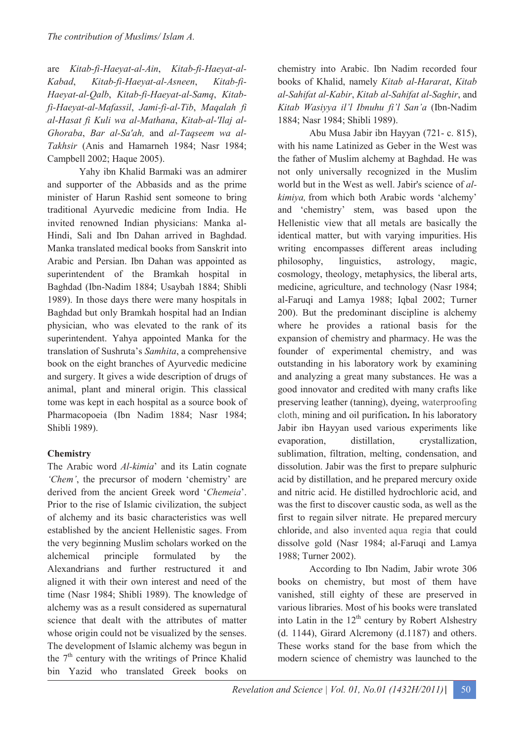are *Kitab-fi-Haeyat-al-Ain*, *Kitab-fi-Haeyat-al-Kabad*, *Kitab-fi-Haeyat-al-Asneen*, *Kitab-fi-Haeyat-al-Qalb*, *Kitab-fi-Haeyat-al-Samq*, *Kitabfi-Haeyat-al-Mafassil*, *Jami-fi-al-Tib*, *Maqalah fi al-Hasat fi Kuli wa al-Mathana*, *Kitab-al-'Ilaj al-Ghoraba*, *Bar al-Sa'ah,* and *al-Taqseem wa al-Takhsir* (Anis and Hamarneh 1984; Nasr 1984; Campbell 2002; Haque 2005).

Yahy ibn Khalid Barmaki was an admirer and supporter of the Abbasids and as the prime minister of Harun Rashid sent someone to bring traditional Ayurvedic medicine from India. He invited renowned Indian physicians: Manka al-Hindi, Sali and Ibn Dahan arrived in Baghdad. Manka translated medical books from Sanskrit into Arabic and Persian. Ibn Dahan was appointed as superintendent of the Bramkah hospital in Baghdad (Ibn-Nadim 1884; Usaybah 1884; Shibli 1989). In those days there were many hospitals in Baghdad but only Bramkah hospital had an Indian physician, who was elevated to the rank of its superintendent. Yahya appointed Manka for the translation of Sushruta's *Samhita*, a comprehensive book on the eight branches of Ayurvedic medicine and surgery. It gives a wide description of drugs of animal, plant and mineral origin. This classical tome was kept in each hospital as a source book of Pharmacopoeia (Ibn Nadim 1884; Nasr 1984; Shibli 1989).

# **Chemistry**

The Arabic word *Al-kimia*' and its Latin cognate *'Chem'*, the precursor of modern 'chemistry' are derived from the ancient Greek word '*Chemeia*'. Prior to the rise of Islamic civilization, the subject of alchemy and its basic characteristics was well established by the ancient Hellenistic sages. From the very beginning Muslim scholars worked on the alchemical principle formulated by the Alexandrians and further restructured it and aligned it with their own interest and need of the time (Nasr 1984; Shibli 1989). The knowledge of alchemy was as a result considered as supernatural science that dealt with the attributes of matter whose origin could not be visualized by the senses. The development of Islamic alchemy was begun in the  $7<sup>th</sup>$  century with the writings of Prince Khalid bin Yazid who translated Greek books on

chemistry into Arabic. Ibn Nadim recorded four books of Khalid, namely *Kitab al-Hararat*, *Kitab al-Sahifat al-Kabir*, *Kitab al-Sahifat al-Saghir*, and *Kitab Wasiyya il'l Ibnuhu fi'l San'a* (Ibn-Nadim 1884; Nasr 1984; Shibli 1989).

Abu Musa Jabir ibn Hayyan (721- c. 815), with his name Latinized as Geber in the West was the father of Muslim alchemy at Baghdad. He was not only universally recognized in the Muslim world but in the West as well. Jabir's science of *alkimiya,* from which both Arabic words 'alchemy' and 'chemistry' stem, was based upon the Hellenistic view that all metals are basically the identical matter, but with varying impurities. His writing encompasses different areas including philosophy, linguistics, astrology, magic, cosmology, theology, metaphysics, the liberal arts, medicine, agriculture, and technology (Nasr 1984; al-Faruqi and Lamya 1988; Iqbal 2002; Turner 200). But the predominant discipline is alchemy where he provides a rational basis for the expansion of chemistry and pharmacy. He was the founder of experimental chemistry, and was outstanding in his laboratory work by examining and analyzing a great many substances. He was a good innovator and credited with many crafts like preserving leather (tanning), dyeing, waterproofing cloth, mining and oil purification**.** In his laboratory Jabir ibn Hayyan used various experiments like evaporation, distillation, crystallization, sublimation, filtration, melting, condensation, and dissolution. Jabir was the first to prepare sulphuric acid by distillation, and he prepared mercury oxide and nitric acid. He distilled hydrochloric acid, and was the first to discover caustic soda, as well as the first to regain silver nitrate. He prepared mercury chloride, and also invented aqua regia that could dissolve gold (Nasr 1984; al-Faruqi and Lamya 1988; Turner 2002).

According to Ibn Nadim, Jabir wrote 306 books on chemistry, but most of them have vanished, still eighty of these are preserved in various libraries. Most of his books were translated into Latin in the  $12<sup>th</sup>$  century by Robert Alshestry (d. 1144), Girard Alcremony (d.1187) and others. These works stand for the base from which the modern science of chemistry was launched to the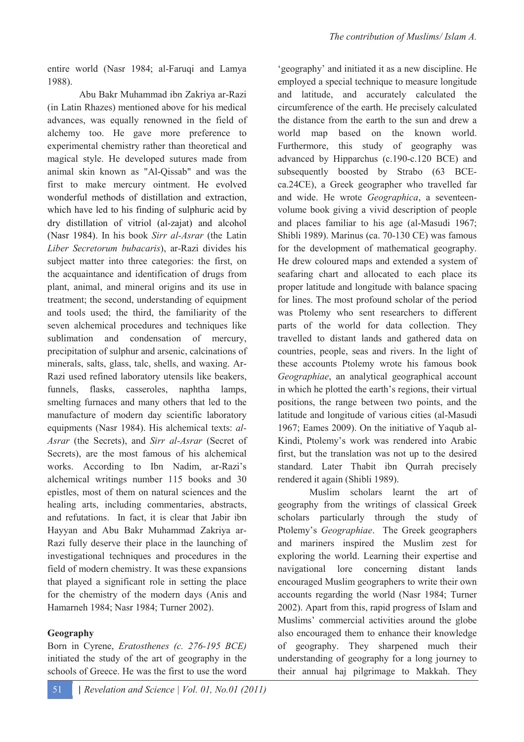entire world (Nasr 1984; al-Faruqi and Lamya 1988).

Abu Bakr Muhammad ibn Zakriya ar-Razi (in Latin Rhazes) mentioned above for his medical advances, was equally renowned in the field of alchemy too. He gave more preference to experimental chemistry rather than theoretical and magical style. He developed sutures made from animal skin known as "Al-Qissab" and was the first to make mercury ointment. He evolved wonderful methods of distillation and extraction, which have led to his finding of sulphuric acid by dry distillation of vitriol (al-zajat) and alcohol (Nasr 1984). In his book *Sirr al-Asrar* (the Latin *Liber Secretorum bubacaris*), ar-Razi divides his subject matter into three categories: the first, on the acquaintance and identification of drugs from plant, animal, and mineral origins and its use in treatment; the second, understanding of equipment and tools used; the third, the familiarity of the seven alchemical procedures and techniques like sublimation and condensation of mercury, precipitation of sulphur and arsenic, calcinations of minerals, salts, glass, talc, shells, and waxing. Ar-Razi used refined laboratory utensils like beakers, funnels, flasks, casseroles, naphtha lamps, smelting furnaces and many others that led to the manufacture of modern day scientific laboratory equipments (Nasr 1984). His alchemical texts: *al-Asrar* (the Secrets), and *Sirr al-Asrar* (Secret of Secrets), are the most famous of his alchemical works. According to Ibn Nadim, ar-Razi's alchemical writings number 115 books and 30 epistles, most of them on natural sciences and the healing arts, including commentaries, abstracts, and refutations. In fact, it is clear that Jabir ibn Hayyan and Abu Bakr Muhammad Zakriya ar-Razi fully deserve their place in the launching of investigational techniques and procedures in the field of modern chemistry. It was these expansions that played a significant role in setting the place for the chemistry of the modern days (Anis and Hamarneh 1984; Nasr 1984; Turner 2002).

# **Geography**

Born in Cyrene, *Eratosthenes (c. 276-195 BCE)* initiated the study of the art of geography in the schools of Greece. He was the first to use the word 'geography' and initiated it as a new discipline. He employed a special technique to measure longitude and latitude, and accurately calculated the circumference of the earth. He precisely calculated the distance from the earth to the sun and drew a world map based on the known world Furthermore, this study of geography was advanced by Hipparchus (c.190-c.120 BCE) and subsequently boosted by Strabo (63 BCEca.24CE), a Greek geographer who travelled far and wide. He wrote *Geographica*, a seventeenvolume book giving a vivid description of people and places familiar to his age (al-Masudi 1967; Shibli 1989). Marinus (ca. 70-130 CE) was famous for the development of mathematical geography. He drew coloured maps and extended a system of seafaring chart and allocated to each place its proper latitude and longitude with balance spacing for lines. The most profound scholar of the period was Ptolemy who sent researchers to different parts of the world for data collection. They travelled to distant lands and gathered data on countries, people, seas and rivers. In the light of these accounts Ptolemy wrote his famous book *Geographiae*, an analytical geographical account in which he plotted the earth's regions, their virtual positions, the range between two points, and the latitude and longitude of various cities (al-Masudi 1967; Eames 2009). On the initiative of Yaqub al-Kindi, Ptolemy's work was rendered into Arabic first, but the translation was not up to the desired standard. Later Thabit ibn Qurrah precisely rendered it again (Shibli 1989).

Muslim scholars learnt the art of geography from the writings of classical Greek scholars particularly through the study of Ptolemy's *Geographiae*. The Greek geographers and mariners inspired the Muslim zest for exploring the world. Learning their expertise and navigational lore concerning distant lands encouraged Muslim geographers to write their own accounts regarding the world (Nasr 1984; Turner 2002). Apart from this, rapid progress of Islam and Muslims' commercial activities around the globe also encouraged them to enhance their knowledge of geography. They sharpened much their understanding of geography for a long journey to their annual haj pilgrimage to Makkah. They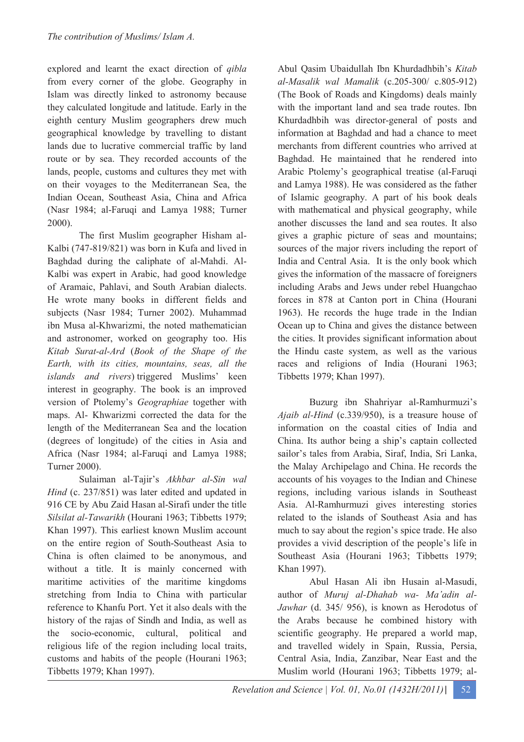explored and learnt the exact direction of *qibla* from every corner of the globe. Geography in Islam was directly linked to astronomy because they calculated longitude and latitude. Early in the eighth century Muslim geographers drew much geographical knowledge by travelling to distant lands due to lucrative commercial traffic by land route or by sea. They recorded accounts of the lands, people, customs and cultures they met with on their voyages to the Mediterranean Sea, the Indian Ocean, Southeast Asia, China and Africa (Nasr 1984; al-Faruqi and Lamya 1988; Turner 2000).

The first Muslim geographer Hisham al-Kalbi (747-819/821) was born in Kufa and lived in Baghdad during the caliphate of al-Mahdi. Al-Kalbi was expert in Arabic, had good knowledge of Aramaic, Pahlavi, and South Arabian dialects. He wrote many books in different fields and subjects (Nasr 1984; Turner 2002). Muhammad ibn Musa al-Khwarizmi, the noted mathematician and astronomer, worked on geography too. His *Kitab Surat-al-Ard* (*Book of the Shape of the Earth, with its cities, mountains, seas, all the islands and rivers*) triggered Muslims' keen interest in geography. The book is an improved version of Ptolemy's *Geographiae* together with maps. Al- Khwarizmi corrected the data for the length of the Mediterranean Sea and the location (degrees of longitude) of the cities in Asia and Africa (Nasr 1984; al-Faruqi and Lamya 1988; Turner 2000).

Sulaiman al-Tajir's *Akhbar al-Sin wal Hind* (c. 237/851) was later edited and updated in 916 CE by Abu Zaid Hasan al-Sirafi under the title *Silsilat al-Tawarikh* (Hourani 1963; Tibbetts 1979; Khan 1997). This earliest known Muslim account on the entire region of South-Southeast Asia to China is often claimed to be anonymous, and without a title. It is mainly concerned with maritime activities of the maritime kingdoms stretching from India to China with particular reference to Khanfu Port. Yet it also deals with the history of the rajas of Sindh and India, as well as the socio-economic, cultural, political and religious life of the region including local traits, customs and habits of the people (Hourani 1963; Tibbetts 1979; Khan 1997).

Abul Qasim Ubaidullah Ibn Khurdadhbih's *Kitab al-Masalik wal Mamalik* (c.205-300/ c.805-912) (The Book of Roads and Kingdoms) deals mainly with the important land and sea trade routes. Ibn Khurdadhbih was director-general of posts and information at Baghdad and had a chance to meet merchants from different countries who arrived at Baghdad. He maintained that he rendered into Arabic Ptolemy's geographical treatise (al-Faruqi and Lamya 1988). He was considered as the father of Islamic geography. A part of his book deals with mathematical and physical geography, while another discusses the land and sea routes. It also gives a graphic picture of seas and mountains; sources of the major rivers including the report of India and Central Asia. It is the only book which gives the information of the massacre of foreigners including Arabs and Jews under rebel Huangchao forces in 878 at Canton port in China (Hourani 1963). He records the huge trade in the Indian Ocean up to China and gives the distance between the cities. It provides significant information about the Hindu caste system, as well as the various races and religions of India (Hourani 1963; Tibbetts 1979; Khan 1997).

Buzurg ibn Shahriyar al-Ramhurmuzi's *Ajaib al-Hind* (c.339/950), is a treasure house of information on the coastal cities of India and China. Its author being a ship's captain collected sailor's tales from Arabia, Siraf, India, Sri Lanka, the Malay Archipelago and China. He records the accounts of his voyages to the Indian and Chinese regions, including various islands in Southeast Asia. Al-Ramhurmuzi gives interesting stories related to the islands of Southeast Asia and has much to say about the region's spice trade. He also provides a vivid description of the people's life in Southeast Asia (Hourani 1963; Tibbetts 1979; Khan 1997).

Abul Hasan Ali ibn Husain al-Masudi, author of *Muruj al-Dhahab wa- Ma'adin al-Jawhar* (d. 345/ 956), is known as Herodotus of the Arabs because he combined history with scientific geography. He prepared a world map, and travelled widely in Spain, Russia, Persia, Central Asia, India, Zanzibar, Near East and the Muslim world (Hourani 1963; Tibbetts 1979; al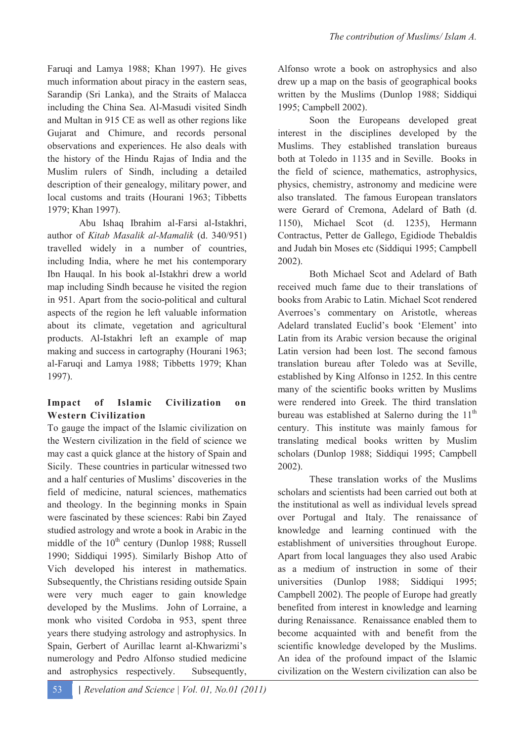Faruqi and Lamya 1988; Khan 1997). He gives much information about piracy in the eastern seas, Sarandip (Sri Lanka), and the Straits of Malacca including the China Sea. Al-Masudi visited Sindh and Multan in 915 CE as well as other regions like Gujarat and Chimure, and records personal observations and experiences. He also deals with the history of the Hindu Rajas of India and the Muslim rulers of Sindh, including a detailed description of their genealogy, military power, and local customs and traits (Hourani 1963; Tibbetts 1979; Khan 1997).

Abu Ishaq Ibrahim al-Farsi al-Istakhri, author of *Kitab Masalik al-Mamalik* (d. 340/951) travelled widely in a number of countries, including India, where he met his contemporary Ibn Hauqal. In his book al-Istakhri drew a world map including Sindh because he visited the region in 951. Apart from the socio-political and cultural aspects of the region he left valuable information about its climate, vegetation and agricultural products. Al-Istakhri left an example of map making and success in cartography (Hourani 1963; al-Faruqi and Lamya 1988; Tibbetts 1979; Khan 1997).

# **Impact of Islamic Civilization on Western Civilization**

To gauge the impact of the Islamic civilization on the Western civilization in the field of science we may cast a quick glance at the history of Spain and Sicily. These countries in particular witnessed two and a half centuries of Muslims' discoveries in the field of medicine, natural sciences, mathematics and theology. In the beginning monks in Spain were fascinated by these sciences: Rabi bin Zayed studied astrology and wrote a book in Arabic in the middle of the  $10^{th}$  century (Dunlop 1988; Russell 1990; Siddiqui 1995). Similarly Bishop Atto of Vich developed his interest in mathematics. Subsequently, the Christians residing outside Spain were very much eager to gain knowledge developed by the Muslims. John of Lorraine, a monk who visited Cordoba in 953, spent three years there studying astrology and astrophysics. In Spain, Gerbert of Aurillac learnt al-Khwarizmi's numerology and Pedro Alfonso studied medicine and astrophysics respectively. Subsequently,

Alfonso wrote a book on astrophysics and also drew up a map on the basis of geographical books written by the Muslims (Dunlop 1988; Siddiqui 1995; Campbell 2002).

Soon the Europeans developed great interest in the disciplines developed by the Muslims. They established translation bureaus both at Toledo in 1135 and in Seville. Books in the field of science, mathematics, astrophysics, physics, chemistry, astronomy and medicine were also translated. The famous European translators were Gerard of Cremona, Adelard of Bath (d. 1150), Michael Scot (d. 1235), Hermann Contractus, Petter de Gallego, Egidiode Thebaldis and Judah bin Moses etc (Siddiqui 1995; Campbell 2002).

Both Michael Scot and Adelard of Bath received much fame due to their translations of books from Arabic to Latin. Michael Scot rendered Averroes's commentary on Aristotle, whereas Adelard translated Euclid's book 'Element' into Latin from its Arabic version because the original Latin version had been lost. The second famous translation bureau after Toledo was at Seville, established by King Alfonso in 1252. In this centre many of the scientific books written by Muslims were rendered into Greek. The third translation bureau was established at Salerno during the  $11<sup>th</sup>$ century. This institute was mainly famous for translating medical books written by Muslim scholars (Dunlop 1988; Siddiqui 1995; Campbell 2002).

These translation works of the Muslims scholars and scientists had been carried out both at the institutional as well as individual levels spread over Portugal and Italy. The renaissance of knowledge and learning continued with the establishment of universities throughout Europe. Apart from local languages they also used Arabic as a medium of instruction in some of their universities (Dunlop 1988; Siddiqui 1995; Campbell 2002). The people of Europe had greatly benefited from interest in knowledge and learning during Renaissance. Renaissance enabled them to become acquainted with and benefit from the scientific knowledge developed by the Muslims. An idea of the profound impact of the Islamic civilization on the Western civilization can also be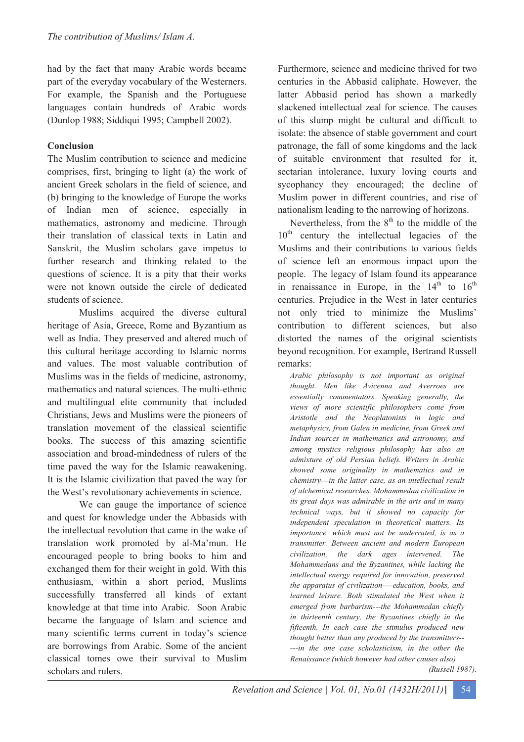had by the fact that many Arabic words became part of the everyday vocabulary of the Westerners. For example, the Spanish and the Portuguese languages contain hundreds of Arabic words (Dunlop 1988; Siddiqui 1995; Campbell 2002).

# **Conclusion**

The Muslim contribution to science and medicine comprises, first, bringing to light (a) the work of ancient Greek scholars in the field of science, and (b) bringing to the knowledge of Europe the works of Indian men of science, especially in mathematics, astronomy and medicine. Through their translation of classical texts in Latin and Sanskrit, the Muslim scholars gave impetus to further research and thinking related to the questions of science. It is a pity that their works were not known outside the circle of dedicated students of science.

Muslims acquired the diverse cultural heritage of Asia, Greece, Rome and Byzantium as well as India. They preserved and altered much of this cultural heritage according to Islamic norms and values. The most valuable contribution of Muslims was in the fields of medicine, astronomy, mathematics and natural sciences. The multi-ethnic and multilingual elite community that included Christians, Jews and Muslims were the pioneers of translation movement of the classical scientific books. The success of this amazing scientific association and broad-mindedness of rulers of the time paved the way for the Islamic reawakening. It is the Islamic civilization that paved the way for the West's revolutionary achievements in science.

We can gauge the importance of science and quest for knowledge under the Abbasids with the intellectual revolution that came in the wake of translation work promoted by al-Ma'mun. He encouraged people to bring books to him and exchanged them for their weight in gold. With this enthusiasm, within a short period, Muslims successfully transferred all kinds of extant knowledge at that time into Arabic. Soon Arabic became the language of Islam and science and many scientific terms current in today's science are borrowings from Arabic. Some of the ancient classical tomes owe their survival to Muslim scholars and rulers.

Furthermore, science and medicine thrived for two centuries in the Abbasid caliphate. However, the latter Abbasid period has shown a markedly slackened intellectual zeal for science. The causes of this slump might be cultural and difficult to isolate: the absence of stable government and court patronage, the fall of some kingdoms and the lack of suitable environment that resulted for it, sectarian intolerance, luxury loving courts and sycophancy they encouraged; the decline of Muslim power in different countries, and rise of nationalism leading to the narrowing of horizons.

Nevertheless, from the  $8<sup>th</sup>$  to the middle of the  $10<sup>th</sup>$  century the intellectual legacies of the Muslims and their contributions to various fields of science left an enormous impact upon the people. The legacy of Islam found its appearance in renaissance in Europe, in the  $14<sup>th</sup>$  to  $16<sup>th</sup>$ centuries. Prejudice in the West in later centuries not only tried to minimize the Muslims' contribution to different sciences, but also distorted the names of the original scientists beyond recognition. For example, Bertrand Russell remarks:

*Arabic philosophy is not important as original thought. Men like Avicenna and Averroes are essentially commentators. Speaking generally, the views of more scientific philosophers come from Aristotle and the Neoplatonists in logic and metaphysics, from Galen in medicine, from Greek and Indian sources in mathematics and astronomy, and among mystics religious philosophy has also an admixture of old Persian beliefs. Writers in Arabic showed some originality in mathematics and in chemistry---in the latter case, as an intellectual result of alchemical researches. Mohammedan civilization in its great days was admirable in the arts and in many technical ways, but it showed no capacity for independent speculation in theoretical matters. Its importance, which must not be underrated, is as a transmitter. Between ancient and modern European civilization, the dark ages intervened. The Mohammedans and the Byzantines, while lacking the intellectual energy required for innovation, preserved the apparatus of civilization----education, books, and learned leisure. Both stimulated the West when it emerged from barbarism---the Mohammedan chiefly in thirteenth century, the Byzantines chiefly in the fifteenth. In each case the stimulus produced new thought better than any produced by the transmitters-- ---in the one case scholasticism, in the other the Renaissance (which however had other causes also)*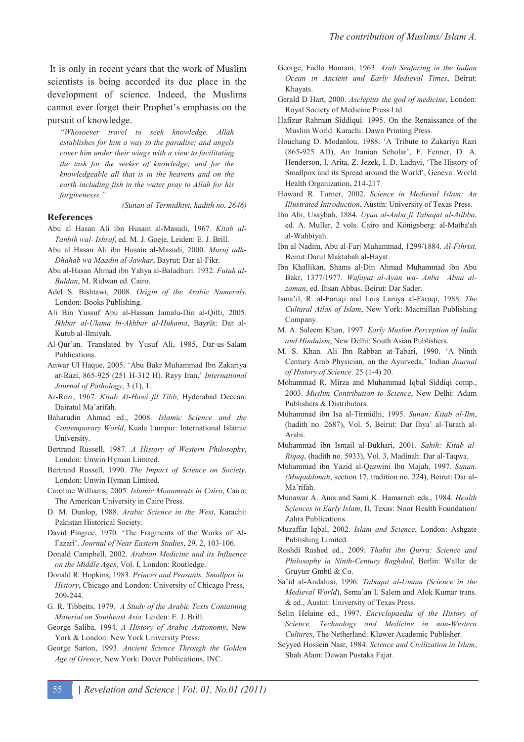It is only in recent years that the work of Muslim scientists is being accorded its due place in the development of science. Indeed, the Muslims cannot ever forget their Prophet's emphasis on the pursuit of knowledge.

*"Whosoever travel to seek knowledge, Allah establishes for him a way to the paradise; and angels cover him under their wings with a view to facilitating the task for the seeker of knowledge; and for the knowledgeable all that is in the heavens and on the earth including fish in the water pray to Allah for his forgivenesss."* 

*(Sunan al-Termidhiyi, hadith no. 2646)* 

#### **References**

- Abu al Hasan Ali ibn Husain al-Masudi, 1967. *Kitab al-Tanbih wal- Ishraf*, ed. M. J. Goeje, Leiden: E. J. Brill.
- Abu al Hasan Ali ibn Husain al-Masudi, 2000. *Muruj adh-Dhahab wa Maadin al-Jawhar*, Bayrut: Dar al-Fikr.
- Abu al-Hasan Ahmad ibn Yahya al-Baladhuri. 1932. *Futuh al-Buldan*, M. Ridwan ed. Cairo.
- Adel S. Bishtawi, 2008. *Origin of the Arabic Numerals*. London: Books Publishing.
- Ali Bin Yussuf Abu al-Hassan Jamalu-Din al-Qifti, 2005. *Ikhbar al-Ulama bi-Akhbar al-Hukama*, Bayrt: Dar al-Kutub al-Ilmiyah.
- Al-Qur'an. Translated by Yusuf Ali, 1985, Dar-us-Salam Publications.
- Anwar Ul Haque, 2005. 'Abu Bakr Muhammad Ibn Zakariya ar-Razi, 865-925 (251 H-312 H). Rayy Iran,' *International Journal of Pathology*, 3 (1), 1.
- Ar-Razi, 1967. *Kitab Al-Hawi fil Tibb*, Hyderabad Deccan: Dairatul Ma'arifah.
- Baharudin Ahmad ed., 2008. *Islamic Science and the Contemporary World*, Kuala Lumpur: International Islamic University.
- Bertrand Russell, 1987. *A History of Western Philosophy*, London: Unwin Hyman Limited.
- Bertrand Russell, 1990. *The Impact of Science on Society*. London: Unwin Hyman Limited.
- Caroline Williams, 2005. *Islamic Monuments in Cairo*, Cairo: The American University in Cairo Press.
- D. M. Dunlop, 1988. *Arabic Science in the West*, Karachi: Pakistan Historical Society.
- David Pingree, 1970. 'The Fragments of the Works of Al-Fazari'. *Journal of Near Eastern Studies*, 29. 2, 103-106.
- Donald Campbell, 2002. *Arabian Medicine and its Influence on the Middle Ages*, Vol. I, London: Routledge.
- Donald R. Hopkins, 1983. *Princes and Peasants: Smallpox in History*, Chicago and London: University of Chicago Press, 209-244.
- G. R. Tibbetts, 1979. *A Study of the Arabic Texts Containing Material on Southeast Asia,* Leiden: E. J. Brill.
- George Saliba, 1994. *A History of Arabic Astronomy*, New York & London: New York University Press.
- George Sarton, 1993. *Ancient Science Through the Golden Age of Greece*, New York: Dover Publications, INC.
- George, Fadlo Hourani, 1963. *Arab Seafaring in the Indian Ocean in Ancient and Early Medieval Times*, Beirut: Khayats.
- Gerald D Hart, 2000. *Asclepius the god of medicine*, London: Royal Society of Medicine Press Ltd.
- Hafizur Rahman Siddiqui. 1995. On the Renaissance of the Muslim World. Karachi: Dawn Printing Press.
- Houchang D. Modanlou, 1988. 'A Tribute to Zakariya Razi (865-925 AD), An Iranian Scholar', F. Fenner, D. A. Henderson, I. Arita, Z. Jezek, I. D. Ladnyi, 'The History of Smallpox and its Spread around the World', Geneva: World Health Organization, 214-217.
- Howard R. Turner, 2002. *Science in Medieval Islam: An Illustrated Introduction*, Austin: University of Texas Press.
- Ibn Abi, Usaybah, 1884. *Uyun al-Anba fi Tabaqat al-Atibba*, ed. A. Muller, 2 vols. Cairo and Königsberg: al-Matba'ah al-Wahbiyah.
- Ibn al-Nadim, Abu al-Farj Muhammad, 1299/1884. *Al-Fihrist*. Beirut:Darul Maktabah al-Hayat.
- Ibn Khallikan, Shams al-Din Ahmad Muhammad ibn Abu Bakr, 1377/1977. *Wafayat al-Ayan wa- Anba Abna alzaman*, ed. Ihsan Abbas, Beirut: Dar Sader.
- Isma'il, R. al-Faruqi and Lois Lamya al-Faruqi, 1988. *The Cultural Atlas of Islam*, New York: Macmillan Publishing Company.
- M. A. Saleem Khan, 1997. *Early Muslim Perception of India and Hinduism*, New Delhi: South Asian Publishers.
- M. S. Khan. Ali Ibn Rabban at-Tabari, 1990. 'A Ninth Century Arab Physician, on the Ayurveda,' Indian *Journal of History of Science*. 25 (1-4) 20.
- Mohammad R. Mirza and Muhammad Iqbal Siddiqi comp., 2003. *Muslim Contribution to Science*, New Delhi: Adam Publishers & Distributors.
- Muhammad ibn Isa al-Tirmidhi, 1995. *Sunan: Kitab al-Ilm*, (hadith no. 2687), Vol. 5, Beirut: Dar Ihya' al-Turath al-Arabi.
- Muhammad ibn Ismail al-Bukhari, 2001. *Sahih: Kitab al-Riqaq*, (hadith no. 5933), Vol. 3, Madinah: Dar al-Taqwa.
- Muhammad ibn Yazid al-Qazwini Ibn Majah, 1997. *Sunan. (Muqaddimah*, section 17, tradition no. 224), Beirut: Dar al-Ma'rifah.
- Munawar A. Anis and Sami K. Hamarneh eds., 1984. *Health Sciences in Early Islam*, II, Texas: Noor Health Foundation/ Zahra Publications.
- Muzaffar Iqbal, 2002. *Islam and Science*, London: Ashgate Publishing Limited.
- Roshdi Rashed ed., 2009. *Thabit ibn Qurra: Science and Philosophy in Ninth-Century Baghdad*, Berlin: Waller de Gruyter Gmbtl & Co.
- Sa'id al-Andalusi, 1996. *Tabaqat al-Umam (Science in the Medieval World*), Sema'an I. Salem and Alok Kumar trans. & ed., Austin: University of Texas Press.
- Selin Helaine ed., 1997. *Encyclopaedia of the History of Science, Technology and Medicine in non-Western Cultures*, The Netherland: Kluwer Academic Publisher.
- Seyyed Hossein Nasr, 1984. *Science and Civilization in Islam*, Shah Alam: Dewan Pustaka Fajar.